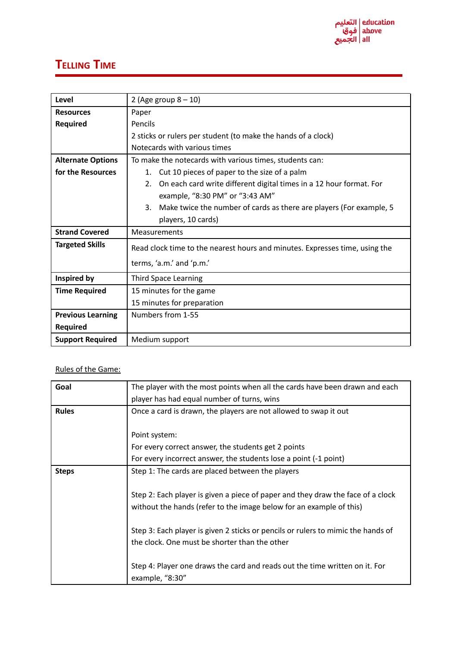## **TELLING TIME**

| Level                    | 2 (Age group $8 - 10$ )                                                     |
|--------------------------|-----------------------------------------------------------------------------|
| <b>Resources</b>         | Paper                                                                       |
| Required                 | Pencils                                                                     |
|                          | 2 sticks or rulers per student (to make the hands of a clock)               |
|                          | Notecards with various times                                                |
| <b>Alternate Options</b> | To make the notecards with various times, students can:                     |
| for the Resources        | Cut 10 pieces of paper to the size of a palm<br>1.                          |
|                          | On each card write different digital times in a 12 hour format. For<br>2.   |
|                          | example, "8:30 PM" or "3:43 AM"                                             |
|                          | 3.<br>Make twice the number of cards as there are players (For example, 5   |
|                          | players, 10 cards)                                                          |
| <b>Strand Covered</b>    | Measurements                                                                |
| <b>Targeted Skills</b>   | Read clock time to the nearest hours and minutes. Expresses time, using the |
|                          | terms, 'a.m.' and 'p.m.'                                                    |
|                          |                                                                             |
| Inspired by              | <b>Third Space Learning</b>                                                 |
| <b>Time Required</b>     | 15 minutes for the game                                                     |
|                          | 15 minutes for preparation                                                  |
| <b>Previous Learning</b> | Numbers from 1-55                                                           |
| <b>Required</b>          |                                                                             |
| <b>Support Required</b>  | Medium support                                                              |

## Rules of the Game:

| Goal         | The player with the most points when all the cards have been drawn and each      |
|--------------|----------------------------------------------------------------------------------|
|              | player has had equal number of turns, wins                                       |
| <b>Rules</b> | Once a card is drawn, the players are not allowed to swap it out                 |
|              |                                                                                  |
|              | Point system:                                                                    |
|              | For every correct answer, the students get 2 points                              |
|              | For every incorrect answer, the students lose a point (-1 point)                 |
| <b>Steps</b> | Step 1: The cards are placed between the players                                 |
|              |                                                                                  |
|              | Step 2: Each player is given a piece of paper and they draw the face of a clock  |
|              | without the hands (refer to the image below for an example of this)              |
|              |                                                                                  |
|              | Step 3: Each player is given 2 sticks or pencils or rulers to mimic the hands of |
|              | the clock. One must be shorter than the other                                    |
|              |                                                                                  |
|              | Step 4: Player one draws the card and reads out the time written on it. For      |
|              | example, "8:30"                                                                  |